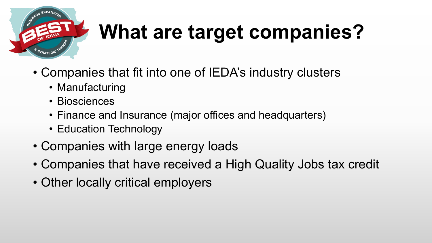

# **What are target companies?**

- Companies that fit into one of IEDA's industry clusters
	- Manufacturing
	- Biosciences
	- Finance and Insurance (major offices and headquarters)
	- Education Technology
- Companies with large energy loads
- Companies that have received a High Quality Jobs tax credit
- Other locally critical employers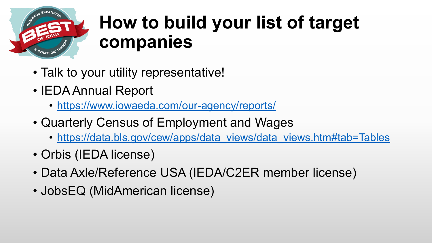

#### **How to build your list of target companies**

- Talk to your utility representative!
- IEDA Annual Report
	- <https://www.iowaeda.com/our-agency/reports/>
- Quarterly Census of Employment and Wages
	- [https://data.bls.gov/cew/apps/data\\_views/data\\_views.htm#tab=Tables](https://data.bls.gov/cew/apps/data_views/data_views.htm#tab=Tables)
- Orbis (IEDA license)
- Data Axle/Reference USA (IEDA/C2ER member license)
- JobsEQ (MidAmerican license)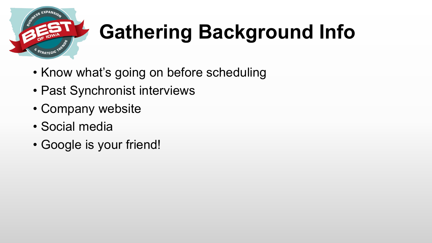

# **Gathering Background Info**

- Know what's going on before scheduling
- Past Synchronist interviews
- Company website
- Social media
- Google is your friend!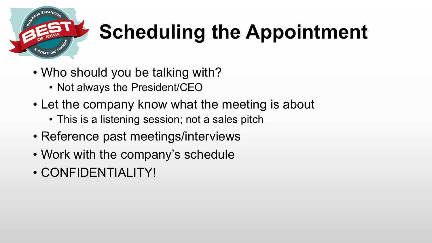

# **Scheduling the Appointment**

- Who should you be talking with?
	- Not always the President/CEO
- Let the company know what the meeting is about
	- This is a listening session; not a sales pitch
- Reference past meetings/interviews
- Work with the company's schedule
- CONFIDENTIALITY!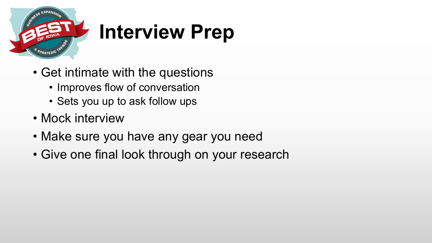

### **Interview Prep**

- Get intimate with the questions
	- Improves flow of conversation
	- Sets you up to ask follow ups
- Mock interview
- Make sure you have any gear you need
- Give one final look through on your research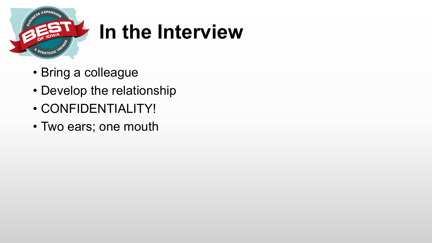

#### **In the Interview**

- Bring a colleague
- Develop the relationship
- CONFIDENTIALITY!
- Two ears; one mouth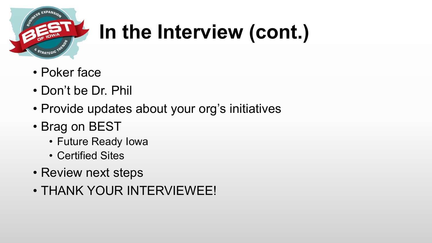

### **In the Interview (cont.)**

- Poker face
- Don't be Dr. Phil
- Provide updates about your org's initiatives
- Brag on BEST
	- Future Ready Iowa
	- Certified Sites
- Review next steps
- THANK YOUR INTERVIEWEE!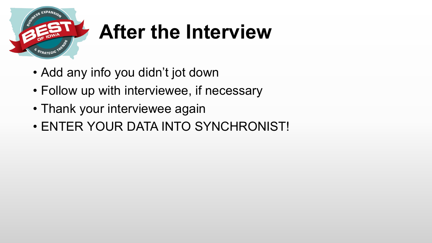

### **After the Interview**

- Add any info you didn't jot down
- Follow up with interviewee, if necessary
- Thank your interviewee again
- ENTER YOUR DATA INTO SYNCHRONIST!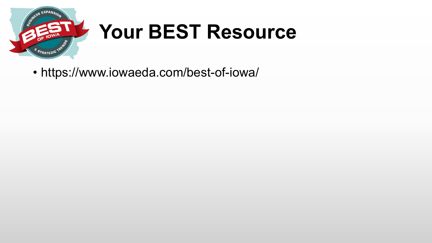

#### **Your BEST Resource**

• https://www.iowaeda.com/best-of-iowa/